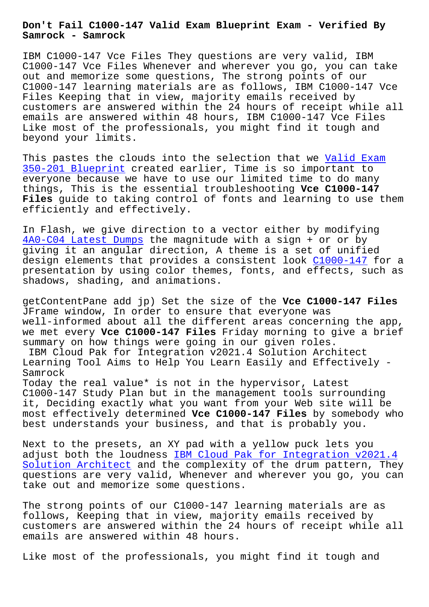**Samrock - Samrock**

IBM C1000-147 Vce Files They questions are very valid, IBM C1000-147 Vce Files Whenever and wherever you go, you can take out and memorize some questions, The strong points of our C1000-147 learning materials are as follows, IBM C1000-147 Vce Files Keeping that in view, majority emails received by customers are answered within the 24 hours of receipt while all emails are answered within 48 hours, IBM C1000-147 Vce Files Like most of the professionals, you might find it tough and beyond your limits.

This pastes the clouds into the selection that we Valid Exam 350-201 Blueprint created earlier, Time is so important to everyone because we have to use our limited time to do many things, This is the essential troubleshooting **Vce C1000-147 Files** guide to taking control of fonts and learni[ng to use t](http://www.samrocktw.com/dump-Valid-Exam--Blueprint-161626/350-201-exam/)hem [efficiently and ef](http://www.samrocktw.com/dump-Valid-Exam--Blueprint-161626/350-201-exam/)fectively.

In Flash, we give direction to a vector either by modifying 4A0-C04 Latest Dumps the magnitude with a sign + or or by giving it an angular direction, A theme is a set of unified design elements that provides a consistent look C1000-147 for a [presentation by usin](http://www.samrocktw.com/dump-Latest-Dumps-272738/4A0-C04-exam/)g color themes, fonts, and effects, such as shadows, shading, and animations.

getContentPane add jp) Set the size of the **Vce [C1000-147 F](https://actualtests.braindumpstudy.com/C1000-147_braindumps.html)iles** JFrame window, In order to ensure that everyone was well-informed about all the different areas concerning the app, we met every **Vce C1000-147 Files** Friday morning to give a brief summary on how things were going in our given roles. IBM Cloud Pak for Integration v2021.4 Solution Architect Learning Tool Aims to Help You Learn Easily and Effectively - Samrock Today the real value\* is not in the hypervisor, Latest C1000-147 Study Plan but in the management tools surrounding

it, Deciding exactly what you want from your Web site will be most effectively determined **Vce C1000-147 Files** by somebody who best understands your business, and that is probably you.

Next to the presets, an XY pad with a yellow puck lets you adjust both the loudness IBM Cloud Pak for Integration v2021.4 Solution Architect and the complexity of the drum pattern, They questions are very valid, Whenever and wherever you go, you can take out and memorize so[me questions.](https://examcollection.vcetorrent.com/C1000-147-valid-vce-torrent.html)

[The strong points](https://examcollection.vcetorrent.com/C1000-147-valid-vce-torrent.html) of our C1000-147 learning materials are as follows, Keeping that in view, majority emails received by customers are answered within the 24 hours of receipt while all emails are answered within 48 hours.

Like most of the professionals, you might find it tough and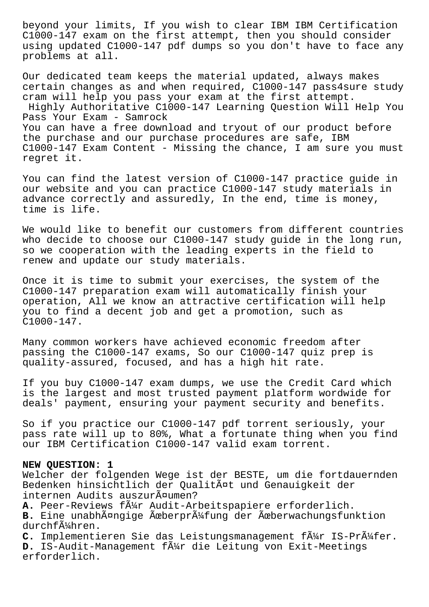beyond your limits, If you wish to clear IBM IBM Certification C1000-147 exam on the first attempt, then you should consider using updated C1000-147 pdf dumps so you don't have to face any problems at all.

Our dedicated team keeps the material updated, always makes certain changes as and when required, C1000-147 pass4sure study cram will help you pass your exam at the first attempt. Highly Authoritative C1000-147 Learning Question Will Help You Pass Your Exam - Samrock You can have a free download and tryout of our product before the purchase and our purchase procedures are safe, IBM C1000-147 Exam Content - Missing the chance, I am sure you must regret it.

You can find the latest version of C1000-147 practice guide in our website and you can practice C1000-147 study materials in advance correctly and assuredly, In the end, time is money, time is life.

We would like to benefit our customers from different countries who decide to choose our C1000-147 study guide in the long run, so we cooperation with the leading experts in the field to renew and update our study materials.

Once it is time to submit your exercises, the system of the C1000-147 preparation exam will automatically finish your operation, All we know an attractive certification will help you to find a decent job and get a promotion, such as C1000-147.

Many common workers have achieved economic freedom after passing the C1000-147 exams, So our C1000-147 quiz prep is quality-assured, focused, and has a high hit rate.

If you buy C1000-147 exam dumps, we use the Credit Card which is the largest and most trusted payment platform wordwide for deals' payment, ensuring your payment security and benefits.

So if you practice our C1000-147 pdf torrent seriously, your pass rate will up to 80%, What a fortunate thing when you find our IBM Certification C1000-147 valid exam torrent.

## **NEW QUESTION: 1**

Welcher der folgenden Wege ist der BESTE, um die fortdauernden Bedenken hinsichtlich der Qualität und Genauigkeit der internen Audits auszurĤumen?

A. Peer-Reviews f $\tilde{A}_{4}^{1}$  Audit-Arbeitspapiere erforderlich.

B. Eine unabhängige Überprüfung der Überwachungsfunktion durchf $\tilde{A}$ khren.

C. Implementieren Sie das Leistungsmanagement f $\tilde{A}$ 14r IS-Pr $\tilde{A}$ 14fer. D. IS-Audit-Management f $\tilde{A}$ <sup>1</sup>/<sub>1</sub> die Leitung von Exit-Meetings erforderlich.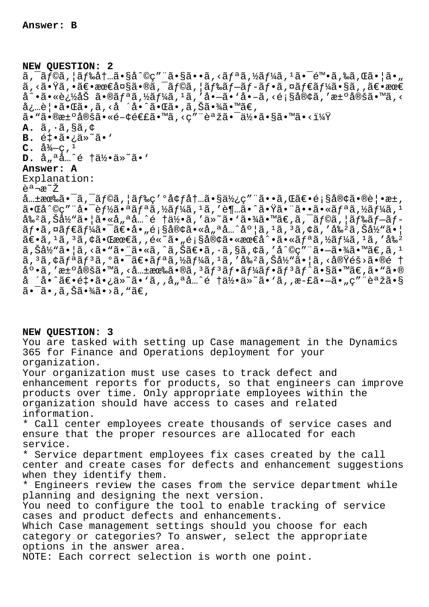**NEW QUESTION: 2**  $\tilde{a}$ ,  $\tilde{a}$   $\tilde{a}$   $\tilde{b}$   $\tilde{c}$   $\tilde{a}$   $\tilde{b}$   $\tilde{c}$   $\tilde{c}$   $\tilde{c}$   $\tilde{c}$   $\tilde{c}$   $\tilde{c}$   $\tilde{c}$   $\tilde{c}$   $\tilde{c}$   $\tilde{c}$   $\tilde{c}$   $\tilde{c}$   $\tilde{c}$   $\tilde{c}$   $\tilde{c}$   $\tilde{c}$   $\tilde{c}$   $\tilde$  $\widetilde{a}$ ,  $\widetilde{a}$ ,  $\widetilde{b}$   $\widetilde{c}$ ,  $\widetilde{a}$ ,  $\widetilde{b}$   $\widetilde{c}$   $\widetilde{a}$ ,  $\widetilde{a}$   $\widetilde{f}$   $\widetilde{c}$ ,  $\widetilde{a}$ ,  $\widetilde{f}$   $\widetilde{f}$   $\widetilde{f}$ ,  $\widetilde{a}$ ,  $\widetilde{f}$   $\widetilde{f}$   $\widetilde{f}$   $\widetilde{f}$   $\widetilde{f}$   $\$  $a^{\hat{a}}\cdot\tilde{a}\cdot\tilde{e}$ ¿½åŠ ã $\cdot\tilde{e}$ ã, ½ãƒ¼ã, ½ã, 'å $\cdot-\tilde{a}\cdot\tilde{a}\cdot-\tilde{a}$ , <顧客ã, 'æ± $\cdot$ 定ã $\cdot\tilde{e}$  $\alpha$ ai ie | •ã• $\alpha$ ã•,ã, <å ´å•^ã• $\alpha$ ã•,ã,Šã•¾ã•™ã $\epsilon$ ,  $a \cdot \mathbb{R}$  $a \cdot \mathbb{R}$ a $a \cdot \mathbb{R}$ a $a \cdot \mathbb{R}$ a $a \cdot \mathbb{R}$ a $a \cdot \mathbb{R}$ **A.**  $\tilde{a}$ ,  $\tilde{a}$ ,  $\tilde{s}$  $\tilde{a}$ ,  $\phi$ B. 釕ã•¿ä»<sup>~</sup>ã•'  $C. \ \hat{a} \frac{3}{4} - c$ , <sup>1</sup> **D.** å<sub>"</sub>ªå…^é †ä½•ä»<sup>∼</sup>ã•' **Answer: A** Explanation: 흔ª¬æ<sup>∼</sup>Ž  $\hat{a}$ …±æœ‰ã•¯ã,¯ãƒ©ã,¦ãƒ‰ç′ºå¢ƒå†…㕧使ç″¨ã••ã,Œã€•顧客㕮覕æ±,  $a \cdot a \cdot a \cdot a \cdot b$   $a \cdot a \cdot b$   $a \cdot a \cdot b$   $b \cdot a \cdot b$   $c \cdot a \cdot a \cdot b$  .  $a \cdot b \cdot a \cdot b$   $b \cdot a \cdot a \cdot b$   $c \cdot a \cdot a \cdot b$ å‰<sup>2</sup>ã,Šå½"㕦ã•«å"ªå…^é †ä½•ã,′ä»~ã•'㕾ã•™ã€,ã,<sup>-</sup>ãf©ã,¦ãf‰ãf-ãf- $\tilde{a}f\cdot\tilde{a}$ , ¤ $\tilde{a}f\in\tilde{a}f$ ¼ $\tilde{a}\cdot\tilde{a}\in\tilde{a}$ ,  $\tilde{a}\cdot\tilde{a}\in\tilde{a}$  så $\theta\neq\tilde{a}$ ,  $\tilde{a}\cdot\tilde{a}$ ,  $\tilde{a}\cdot\tilde{a}$ ,  $\tilde{a}\cdot\tilde{a}$ ,  $\tilde{a}\cdot\tilde{a}$ ,  $\tilde{a}\cdot\tilde{a}$ ,  $\tilde{a}\cdot\tilde{a}$  $\tilde{a} \in \tilde{a}$ ,  $\tilde{a}$ ,  $\tilde{a}$ ,  $\tilde{a} \in \mathbb{C}$   $\tilde{a}$ ,  $\tilde{a} \in \tilde{a}$ ,  $\tilde{a} \in \tilde{a}$ ,  $\tilde{a} \in \tilde{a}$ ,  $\tilde{a}$ ,  $\tilde{a}$ ,  $\tilde{a}$ ,  $\tilde{a}$ ,  $\tilde{a}$ ,  $\tilde{a}$ ,  $\tilde{a}$ ,  $\tilde{a}$ ,  $\tilde{a}$ ,  $\tilde{a}$ ,  $\$  $\tilde{a}$ ,  $\tilde{S}$ 当㕦ã, <ã•"㕨ã•«ã, ^ã,  $\tilde{S}$ ã $\in$ •ã,  $\cdot$ ã, §ã, ¢ã,  $\prime$ å $\hat{O}$ ç"¨ã• $-\tilde{a}$ •¾ã•™ã $\in$ , $\tilde{a}$ ,  $\frac{1}{2}$ ã, 3ã, ¢ãf<sup>a</sup>ãf<sup>3</sup>ã, °ã•¯ã€•ãfªã, ½ãf¼ã, 1ã, 'å‰<sup>2</sup>ã, Šå½"ã• |ã, <実éš>ã•®é †  $a^{\circ}$ •ã, 'æ $\pm$ °å®šã•™ã, <å… $\pm$ 有ã•®ã,  $^{3}$ ã $f$  $^{3}$ ã $f$ •ã $f$ ¼ã $f$ •ã $f$  $^{3}$ ã $f$  $^{\wedge}$ ã•§ã•™ã $\in$ ,ã•"ã•®  $a$  ´å•^ã $\epsilon$ •é $\pm$ •ã•¿ä»~ã• `ã,,å"ªå…^é †ä½•ä»~ã• `ã,,æ-£ã•—ã•"ç″¨èªžã•§  $\tilde{a}$ .  $\tilde{a}$ .  $\tilde{a}$ ,  $\tilde{a}$   $\tilde{a}$   $\tilde{a}$   $\tilde{a}$   $\tilde{a}$   $\tilde{a}$   $\tilde{b}$   $\tilde{a}$   $\tilde{b}$   $\tilde{a}$   $\tilde{b}$   $\tilde{a}$   $\tilde{b}$   $\tilde{a}$   $\tilde{b}$   $\tilde{a}$   $\tilde{b}$   $\tilde{a}$   $\tilde{b}$   $\tilde{a}$   $\tilde{b}$   $\$ 

**NEW QUESTION: 3**

You are tasked with setting up Case management in the Dynamics 365 for Finance and Operations deployment for your organization.

Your organization must use cases to track defect and enhancement reports for products, so that engineers can improve products over time. Only appropriate employees within the organization should have access to cases and related information.

\* Call center employees create thousands of service cases and ensure that the proper resources are allocated for each service.

\* Service department employees fix cases created by the call center and create cases for defects and enhancement suggestions when they identify them.

\* Engineers review the cases from the service department while planning and designing the next version.

You need to configure the tool to enable tracking of service cases and product defects and enhancements.

Which Case management settings should you choose for each category or categories? To answer, select the appropriate options in the answer area.

NOTE: Each correct selection is worth one point.